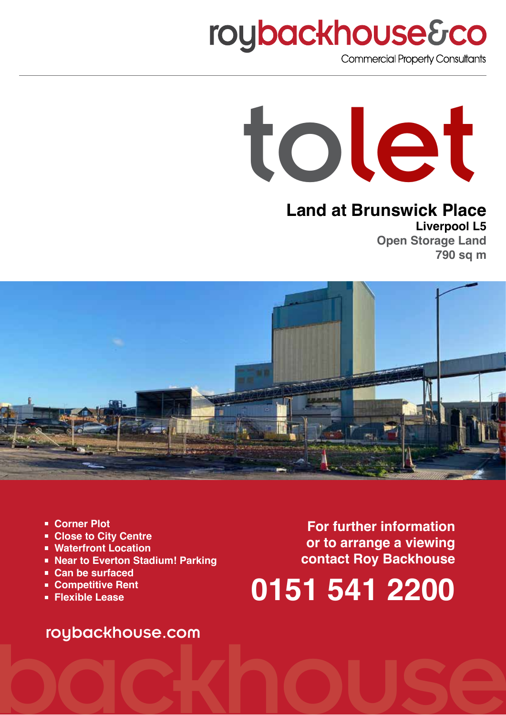# **roybackhouse&co**

**Commercial Property Consultants** 



## **Land at Brunswick Place**

**Liverpool L5 Open Storage Land 790 sq m**



- **• Corner Plot**
- **• Close to City Centre**
- **• Waterfront Location**
- **• Near to Everton Stadium! Parking**
- **• Can be surfaced**
- **• Competitive Rent**
- **• Flexible Lease**

**For further information or to arrange a viewing contact Roy Backhouse**

# **0151 541 2200**

# roybackhouse.com<br>OCCKINOUSE roybackhouse.com